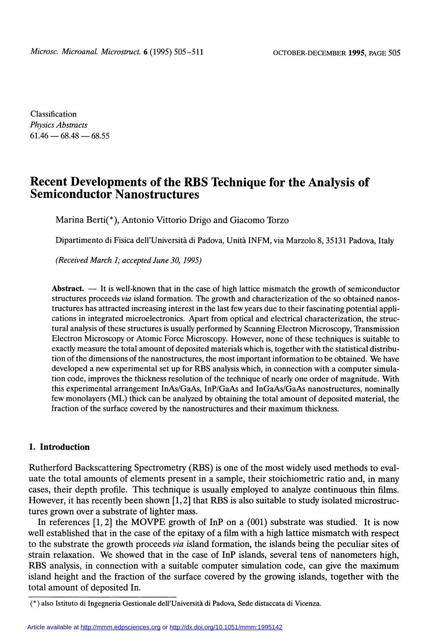Classification Physics Abstracts  $61.46 - 68.48 - 68.55$ 

# Recent Developments of the RBS Technique for the Analysis of Semiconductor Nanostructures

Marina Berti(\*), Antonio Vittorio Drigo and Giacomo Torzo

Dipartimento di Fisica dell'Università di Padova, Unità INFM, via Marzolo 8, 35131 Padova, Italy

(Received March 1; accepted June 30, 1995)

Abstract.  $\overline{a}$  It is well-known that in the case of high lattice mismatch the growth of semiconductor structures proceeds via island formation. The growth and characterization of the so obtained nanostructures has attracted increasing interest in the last few years due to their fascinating potential applications in integrated microelectronics. Apart from optical and electrical characterization, the structural analysis of these structures is usually performed by Scanning Electron Microscopy, Transmission Electron Microscopy or Atomic Force Microscopy. However, none of these techniques is suitable to exactly measure the total amount of deposited materials which is, together with the statistical distribution of the dimensions of the nanostructures, the most important information to be obtained. We have developed a new experimental set up for RBS analysis which, in connection with a computer simulation code, improves the thickness resolution of the technique of nearly one order of magnitude. With this experimental arrangement InAs/GaAs, InP/GaAs and InGaAs/GaAs nanostructures, nominally few monolayers (ML) thick can be analyzed by obtaining the total amount of deposited material, the fraction of the surface covered by the nanostructures and their maximum thickness.

# 1. Introduction

Rutherford Backscattering Spectrometry (RBS) is one of the most widely used methods to evaluate the total amounts of elements present in a sample, their stoichiometric ratio and, in many cases, their depth profile. This technique is usually employed to analyze continuous thin films. However, it has recently been shown  $[1, 2]$  that RBS is also suitable to study isolated microstructures grown over a substrate of lighter mass.

In references [1, 2] the MOVPE growth of InP on a (001) substrate was studied. It is now well established that in the case of the epitaxy of a film with a high lattice mismatch with respect to the substrate the growth proceeds via island formation, the islands being the peculiar sites of strain relaxation. We showed that in the case of InP islands, several tens of nanometers high, RBS analysis, in connection with a suitable computer simulation code, can give the maximum island height and the fraction of the surface covered by the growing islands, together with the total amount of deposited In.

<sup>(\*)</sup> also Istituto di Ingegneria Gestionale dell'Università di Padova, Sede distaccata di Vicenza.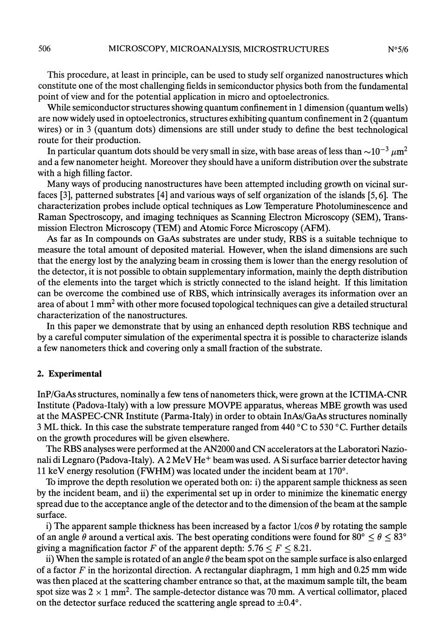This procedure, at least in principle, can be used to study self organized nanostructures which constitute one of the most challenging fields in semiconductor physics both from the fundamental point of view and for the potential application in micro and optoelectronics.

While semiconductor structures showing quantum confinement in 1 dimension (quantum wells) are now widely used in optoelectronics, structures exhibiting quantum confinement in 2 (quantum wires) or in 3 (quantum dots) dimensions are still under study to define the best technological route for their production.

In particular quantum dots should be very small in size, with base areas of less than  $\sim 10^{-3} \mu \text{m}^2$ and a few nanometer height. Moreover they should have a uniform distribution over the substrate with a high filling factor.

Many ways of producing nanostructures have been attempted including growth on vicinal surfaces [3], patterned substrates [4] and various ways of self organization of the islands [5,6]. The characterization probes include optical techniques as Low Temperature Photoluminescence and Raman Spectroscopy, and imaging techniques as Scanning Electron Microscopy (SEM), Transmission Electron Microscopy (TEM) and Atomic Force Microscopy (AFM).

As far as In compounds on GaAs substrates are under study, RBS is a suitable technique to measure the total amount of deposited material. However, when the island dimensions are such that the energy lost by the analyzing beam in crossing them is lower than the energy resolution of the detector, it is not possible to obtain supplementary information, mainly the depth distribution of the elements into the target which is strictly connected to the island height. If this limitation can be overcome the combined use of RBS, which intrinsically averages its information over an area of about 1 mm2 with other more focused topological techniques can give a detailed structural characterization of the nanostructures.

In this paper we demonstrate that by using an enhanced depth resolution RBS technique and by a careful computer simulation of the experimental spectra it is possible to characterize islands a few nanometers thick and covering only a small fraction of the substrate.

## 2. Experimental

InP/GaAs structures, nominally a few tens of nanometers thick, were grown at the ICTIMA-CNR Institute (Padova-Italy) with a low pressure MOVPE apparatus, whereas MBE growth was used at the MASPEC-CNR Institute (Parma-Italy) in order to obtain InAs/GaAs structures nominally 3 ML thick. In this case the substrate temperature ranged from 440  $\degree$ C to 530  $\degree$ C. Further details on the growth procedures will be given elsewhere.

The RBS analyses were performed at the AN2000 and CN accelerators at the Laboratori Nazionali di Legnaro (Padova-Italy). A 2 MeV He<sup>+</sup> beam was used. A Si surface barrier detector having 11 keV energy resolution (FWHM) was located under the incident beam at 170°.

To improve the depth resolution we operated both on: i) the apparent sample thickness as seen by the incident beam, and ii) the experimental set up in order to minimize the kinematic energy spread due to the acceptance angle of the detector and to the dimension of the beam at the sample surface.

i) The apparent sample thickness has been increased by a factor  $1/\cos \theta$  by rotating the sample of an angle  $\theta$  around a vertical axis. The best operating conditions were found for 80°  $\leq \theta \leq 83^{\circ}$ giving a magnification factor F of the apparent depth:  $5.76 \le F \le 8.21$ .

ii) When the sample is rotated of an angle  $\theta$  the beam spot on the sample surface is also enlarged of a factor  $F$  in the horizontal direction. A rectangular diaphragm, 1 mm high and 0.25 mm wide was then placed at the scattering chamber entrance so that, at the maximum sample tilt, the beam spot size was  $2 \times 1$  mm<sup>2</sup>. The sample-detector distance was 70 mm. A vertical collimator, placed on the detector surface reduced the scattering angle spread to  $\pm 0.4^{\circ}$ .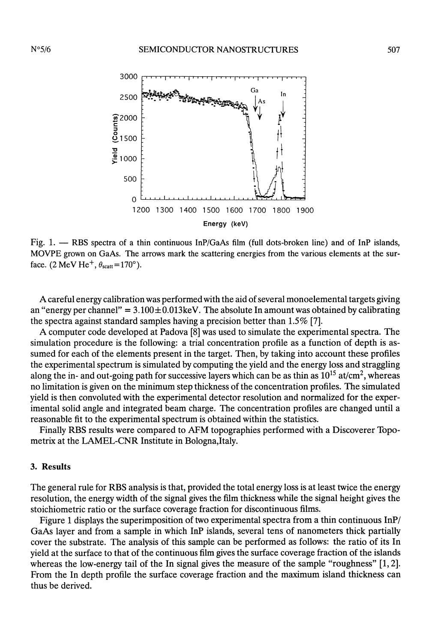

Fig. 1.  $-$  RBS spectra of a thin continuous InP/GaAs film (full dots-broken line) and of InP islands, MOVPE grown on GaAs. The arrows mark the scattering energies from the various elements at the surface. (2 MeV He<sup>+</sup>,  $\theta_{scatt}$ =170°).

A careful energy calibration was performed with the aid of several monoelemental targets giving an "energy per channel" =  $3.100 \pm 0.013$  keV. The absolute In amount was obtained by calibrating the spectra against standard samples having a precision better than 1.5% [7].

A computer code developed at Padova [8] was used to simulate the experimental spectra. The simulation procedure is the following: a trial concentration profile as a function of depth is assumed for each of the elements present in the target. Then, by taking into account these profiles the experimental spectrum is simulated by computing the yield and the energy loss and straggling along the in- and out-going path for successive layers which can be as thin as  $10^{15}$  at/cm<sup>2</sup>, whereas no limitation is given on the minimum step thickness of the concentration profiles. The simulated yield is then convoluted with the experimental detector resolution and normalized for the experimental solid angle and integrated beam charge. The concentration profiles are changed until a reasonable fit to the experimental spectrum is obtained within the statistics.

Finally RBS results were compared to AFM topographies performed with a Discoverer Topometrix at the LAMEL-CNR Institute in Bologna,Italy.

# 3. Results

The general rule for RBS analysis is that, provided the total energy loss is at least twice the energy resolution, the energy width of the signal gives the film thickness while the signal height gives the stoichiometric ratio or the surface coverage fraction for discontinuous films.

Figure 1 displays the superimposition of two experimental spectra from a thin continuous InP/ GaAs layer and from a sample in which InP islands, several tens of nanometers thick partially cover the substrate. The analysis of this sample can be performed as follows: the ratio of its In yield at the surface to that of the continuous film gives the surface coverage fraction of the islands whereas the low-energy tail of the In signal gives the measure of the sample "roughness" [1, 2]. From the In depth profile the surface coverage fraction and the maximum island thickness can thus be derived.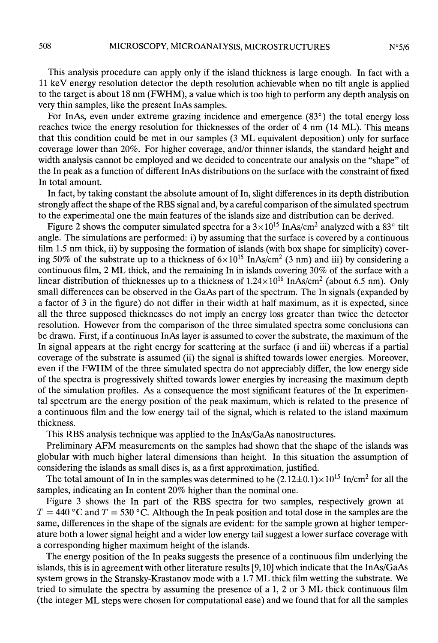This analysis procedure can apply only if the island thickness is large enough. In fact with a 11 keV energy resolution detector the depth resolution achievable when no tilt angle is applied to the target is about 18 nm (FWHM), a value which is too high to perform any depth analysis on very thin samples, like the present InAs samples.

For InAs, even under extreme grazing incidence and emergence (83°) the total energy loss reaches twice the energy resolution for thicknesses of the order of 4 nm (14 ML). This means that this condition could be met in our samples (3 ML equivalent deposition) only for surface coverage lower than 20%. For higher coverage, and/or thinner islands, the standard height and width analysis cannot be employed and we decided to concentrate our analysis on the "shape" of the In peak as a function of different InAs distributions on the surface with the constraint of fixed In total amount.

In fact, by taking constant the absolute amount of In, slight differences in its depth distribution strongly affect the shape of the RBS signal and, by a careful comparison of the simulated spectrum to the experimental one the main features of the islands size and distribution can be derived.

Figure 2 shows the computer simulated spectra for a  $3 \times 10^{15}$  InAs/cm<sup>2</sup> analyzed with a 83° tilt angle. The simulations are performed: i) by assuming that the surface is covered by a continuous film 1.5 nm thick, ii) by supposing the formation of islands (with box shape for simplicity) covering 50% of the substrate up to a thickness of  $6 \times 10^{15}$  InAs/cm<sup>2</sup> (3 nm) and iii) by considering a continuous film, 2 ML thick, and the remaining In in islands covering 30% of the surface with a linear distribution of thicknesses up to a thickness of  $1.24 \times 10^{16}$  InAs/cm<sup>2</sup> (about 6.5 nm). Only small differences can be observed in the GaAs part of the spectrum. The In signals (expanded by a factor of 3 in the figure) do not differ in their width at half maximum, as it is expected, since all the three supposed thicknesses do not imply an energy loss greater than twice the detector resolution. However from the comparison of the three simulated spectra some conclusions can be drawn. First, if a continuous InAs layer is assumed to cover the substrate, the maximum of the In signal appears at the right energy for scattering at the surface (i and iii) whereas if a partial coverage of the substrate is assumed (ii) the signal is shifted towards lower energies. Moreover, even if the FWHM of the three simulated spectra do not appreciably differ, the low energy side of the spectra is progressively shifted towards lower energies by increasing the maximum depth of the simulation profiles. As a consequence the most significant features of the In experimental spectrum are the energy position of the peak maximum, which is related to the presence of a continuous film and the low energy tail of the signal, which is related to the island maximum thickness.

This RBS analysis technique was applied to the InAs/GaAs nanostructures.

Preliminary AFM measurements on the samples had shown that the shape of the islands was globular with much higher lateral dimensions than height. In this situation the assumption of considering the islands as small discs is, as a first approximation, justified.

The total amount of In in the samples was determined to be  $(2.12\pm0.1)\times10^{15}$  In/cm<sup>2</sup> for all the samples, indicating an In content 20% higher than the nominal one.

Figure 3 shows the In part of the RBS spectra for two samples, respectively grown at  $T = 440 \degree C$  and  $T = 530 \degree C$ . Although the In peak position and total dose in the samples are the same, differences in the shape of the signals are evident: for the sample grown at higher temperature both a lower signal height and a wider low energy tail suggest a lower surface coverage with a corresponding higher maximum height of the islands.

The energy position of the In peaks suggests the presence of a continuous film underlying the islands, this is in agreement with other literature results [9,10] which indicate that the InAs/GaAs system grows in the Stransky-Krastanov mode with a 1.7 ML thick film wetting the substrate. We tried to simulate the spectra by assuming the presence of a 1, 2 or 3 ML thick continuous film (the integer ML steps were chosen for computational ease) and we found that for all the samples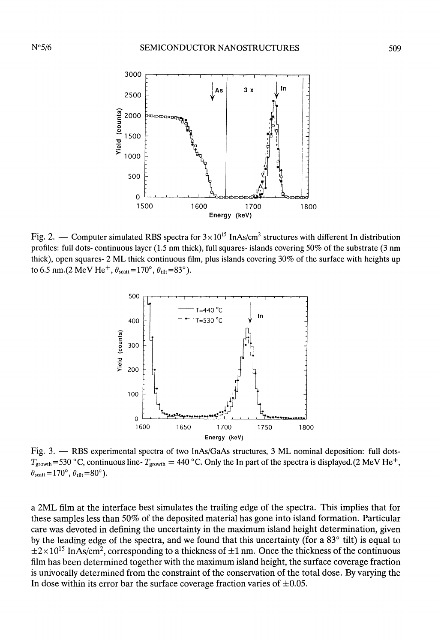

Fig. 2. - Computer simulated RBS spectra for  $3 \times 10^{15}$  InAs/cm<sup>2</sup> structures with different In distribution profiles: full dots- continuous layer (1.5 nm thick), full squares- islands covering 50% of the substrate (3 nm thick), open squares- 2 ML thick continuous film, plus islands covering 30% of the surface with heights up to 6.5 nm.(2 MeV He<sup>+</sup>,  $\theta_{\text{scatt}}$ =170°,  $\theta_{\text{tilt}}$ =83°).



Fig. 3.  $-$  RBS experimental spectra of two InAs/GaAs structures, 3 ML nominal deposition: full dots- $T_{\text{growth}}$  = 530 °C, continuous line-  $T_{\text{growth}}$  = 440 °C. Only the In part of the spectra is displayed. (2 MeV He<sup>+</sup>,  $\theta_{\text{scatt}} = 170^{\circ}, \theta_{\text{tilt}} = 80^{\circ}.$ 

a 2ML film at the interface best simulates the trailing edge of the spectra. This implies that for these samples less than 50% of the deposited material has gone into island formation. Particular care was devoted in defining the uncertainty in the maximum island height determination, given by the leading edge of the spectra, and we found that this uncertainty (for a 83° tilt) is equal to  $\pm 2 \times 10^{15}$  InAs/cm<sup>2</sup>, corresponding to a thickness of  $\pm 1$  nm. Once the thickness of the continuous film has been determined together with the maximum island height, the surface coverage fraction is univocally determined from the constraint of the conservation of the total dose. By varying the In dose within its error bar the surface coverage fraction varies of  $\pm 0.05$ .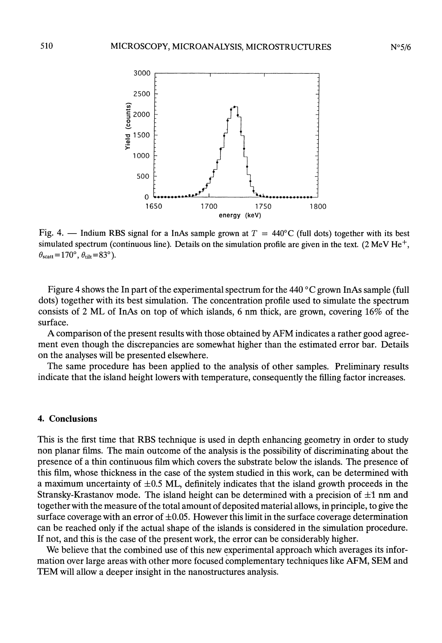

Fig. 4. - Indium RBS signal for a InAs sample grown at  $T = 440^{\circ}$ C (full dots) together with its best simulated spectrum (continuous line). Details on the simulation profile are given in the text. (2 MeV  $He<sup>+</sup>$ ,  $\theta_{\text{scatt}} = 170^{\circ}, \theta_{\text{tilt}} = 83^{\circ}$ ).

Figure 4 shows the In part of the experimental spectrum for the 440 ° C grown InAs sample (full dots) together with its best simulation. The concentration profile used to simulate the spectrum consists of 2 ML of InAs on top of which islands, 6 nm thick, are grown, covering 16% of the surface.

A comparison of the present results with those obtained by AFM indicates a rather good agreement even though the discrepancies are somewhat higher than the estimated error bar. Details on the analyses will be presented elsewhere.

The same procedure has been applied to the analysis of other samples. Preliminary results indicate that the island height lowers with temperature, consequently the filling factor increases.

#### 4. Conclusions

This is the first time that RBS technique is used in depth enhancing geometry in order to study non planar films. The main outcome of the analysis is the possibility of discriminating about the presence of a thin continuous film which covers the substrate below the islands. The presence of this film, whose thickness in the case of the system studied in this work, can be determined with a maximum uncertainty of  $\pm 0.5$  ML, definitely indicates that the island growth proceeds in the Stransky-Krastanov mode. The island height can be determined with a precision of  $\pm 1$  nm and together with the measure of the total amount of deposited material allows, in principle, to give the surface coverage with an error of  $\pm 0.05$ . However this limit in the surface coverage determination can be reached only if the actual shape of the islands is considered in the simulation procedure. If not, and this is the case of the present work, the error can be considerably higher.

We believe that the combined use of this new experimental approach which averages its information over large areas with other more focused complementary techniques like AFM, SEM and TEM will allow a deeper insight in the nanostructures analysis.